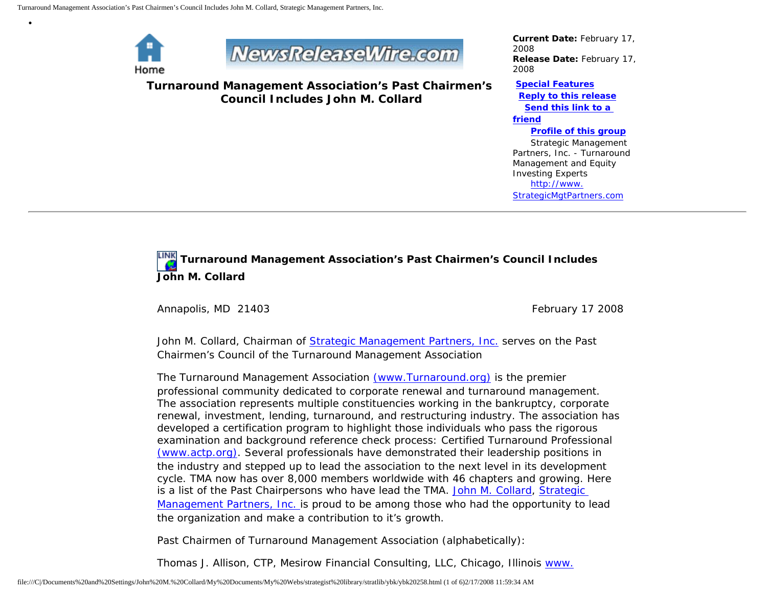

•



**Turnaround Management Association's Past Chairmen's Council Includes John M. Collard**

*Current Date:* February 17, 2008 *Release Date:* February 17, 2008

**[Special Features](javascript:openlittleme() [Reply to this release](file:///C|/Documents%20and%20Settings/John%20M.%20Collard/My%20Documents/My%20Webs/strategist%20library/stratlib/ybk/default.cfm?Action=ReplyRelease&Id=20258) [Send this link to a](file:///C|/Documents%20and%20Settings/John%20M.%20Collard/My%20Documents/My%20Webs/strategist%20library/stratlib/ybk/default.cfm?Action=SendLink&SendId=20258)  [friend](file:///C|/Documents%20and%20Settings/John%20M.%20Collard/My%20Documents/My%20Webs/strategist%20library/stratlib/ybk/default.cfm?Action=SendLink&SendId=20258) [Profile of this group](file:///C|/Documents%20and%20Settings/John%20M.%20Collard/My%20Documents/My%20Webs/strategist%20library/stratlib/ybk/default.cfm?Action=Profile&ProfileId=623)**

 Strategic Management Partners, Inc. - Turnaround Management and Equity Investing Experts [http://www.](http://www.strategicmgtpartners.com/) [StrategicMgtPartners.com](http://www.strategicmgtpartners.com/)

## **Turnaround Management Association's Past Chairmen's Council Includes John M. Collard**

Annapolis, MD 21403 **February 17 2008** February 17 2008

John M. Collard, Chairman of [Strategic Management Partners, Inc.](http://www.strategicmanagementpartnersinc.com/) serves on the Past Chairmen's Council of the Turnaround Management Association

The Turnaround Management Association [\(www.Turnaround.org\)](http://www.turnaround.org/) is the premier professional community dedicated to corporate renewal and turnaround management. The association represents multiple constituencies working in the bankruptcy, corporate renewal, investment, lending, turnaround, and restructuring industry. The association has developed a certification program to highlight those individuals who pass the rigorous examination and background reference check process: Certified Turnaround Professional [\(www.actp.org\)](http://www.actp.org/). Several professionals have demonstrated their leadership positions in the industry and stepped up to lead the association to the next level in its development cycle. TMA now has over 8,000 members worldwide with 46 chapters and growing. Here is a list of the Past Chairpersons who have lead the TMA. [John M. Collard](http://members.aol.com/strategist/home.html), [Strategic](http://www.strategicmgtpartners.com/) [Management Partners, Inc.](http://www.strategicmgtpartners.com/) is proud to be among those who had the opportunity to lead the organization and make a contribution to it's growth.

Past Chairmen of Turnaround Management Association (alphabetically):

Thomas J. Allison, CTP, Mesirow Financial Consulting, LLC, Chicago, Illinois [www.](http://www.mesirowfinancial.com/)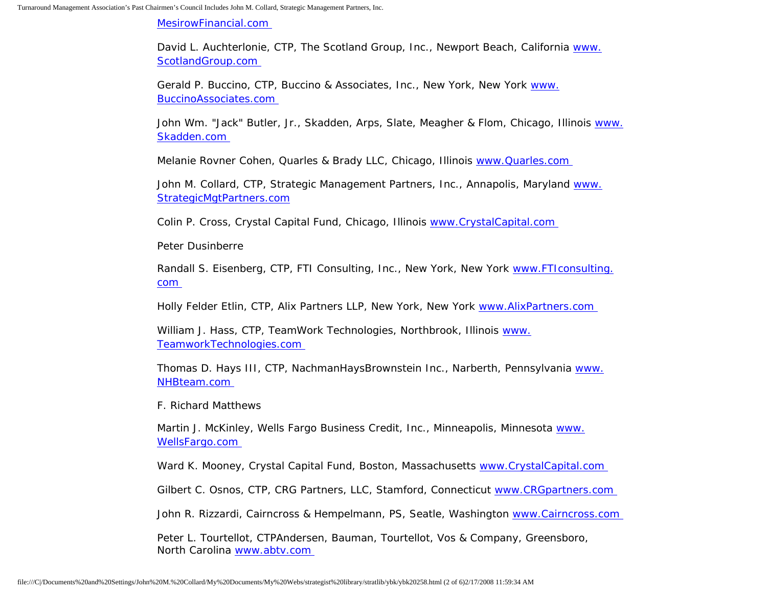[MesirowFinancial.com](http://www.mesirowfinancial.com/)

David L. Auchterlonie, CTP, The Scotland Group, Inc., Newport Beach, California [www.](http://www.scotlandgroup.com/) [ScotlandGroup.com](http://www.scotlandgroup.com/)

Gerald P. Buccino, CTP, Buccino & Associates, Inc., New York, New York [www.](http://www.buccinoassociates.com/) [BuccinoAssociates.com](http://www.buccinoassociates.com/)

John Wm. "Jack" Butler, Jr., Skadden, Arps, Slate, Meagher & Flom, Chicago, Illinois [www.](http://www.skadden.com/) [Skadden.com](http://www.skadden.com/) 

Melanie Rovner Cohen, Quarles & Brady LLC, Chicago, Illinois [www.Quarles.com](http://www.quarles.com/) 

John M. Collard, CTP, Strategic Management Partners, Inc., Annapolis, Maryland [www.](http://www.strategicmgtpartners.com/) [StrategicMgtPartners.com](http://www.strategicmgtpartners.com/)

Colin P. Cross, Crystal Capital Fund, Chicago, Illinois [www.CrystalCapital.com](http://www.crystalcapital.com/) 

Peter Dusinberre

Randall S. Eisenberg, CTP, FTI Consulting, Inc., New York, New York [www.FTIconsulting.](http://www.fticonsulting.com/) [com](http://www.fticonsulting.com/)

Holly Felder Etlin, CTP, Alix Partners LLP, New York, New York [www.AlixPartners.com](http://www.alixpartners.com/)

William J. Hass, CTP, TeamWork Technologies, Northbrook, Illinois [www.](http://www.teamworktechnologies.com/) [TeamworkTechnologies.com](http://www.teamworktechnologies.com/) 

Thomas D. Hays III, CTP, NachmanHaysBrownstein Inc., Narberth, Pennsylvania [www.](http://www.nhbteam.com/) [NHBteam.com](http://www.nhbteam.com/)

F. Richard Matthews

Martin J. McKinley, Wells Fargo Business Credit, Inc., Minneapolis, Minnesota [www.](http://www.wellsfargo.com/) [WellsFargo.com](http://www.wellsfargo.com/) 

Ward K. Mooney, Crystal Capital Fund, Boston, Massachusetts [www.CrystalCapital.com](http://www.crystalcapital.com/)

Gilbert C. Osnos, CTP, CRG Partners, LLC, Stamford, Connecticut www.CRGpartners.com

John R. Rizzardi, Cairncross & Hempelmann, PS, Seatle, Washington [www.Cairncross.com](http://www.cairncross.com/) 

Peter L. Tourtellot, CTPAndersen, Bauman, Tourtellot, Vos & Company, Greensboro, North Carolina [www.abtv.com](http://www.abtv.com/)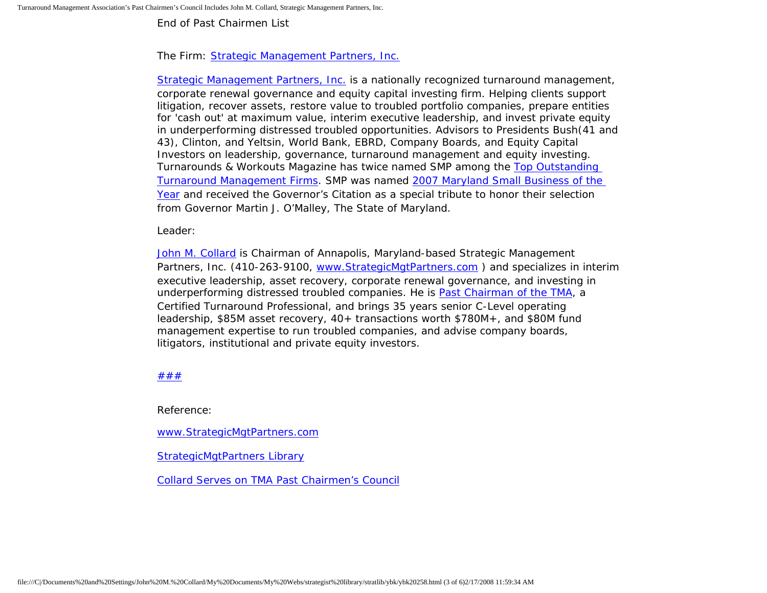End of Past Chairmen List

## The Firm: [Strategic Management Partners, Inc.](http://www.strategicmgtpartners.com/)

[Strategic Management Partners, Inc.](http://www.strategicmanagementpartnersinc.com/) is a nationally recognized turnaround management, corporate renewal governance and equity capital investing firm. Helping clients support litigation, recover assets, restore value to troubled portfolio companies, prepare entities for 'cash out' at maximum value, interim executive leadership, and invest private equity in underperforming distressed troubled opportunities. Advisors to Presidents Bush(41 and 43), Clinton, and Yeltsin, World Bank, EBRD, Company Boards, and Equity Capital Investors on leadership, governance, turnaround management and equity investing. Turnarounds & Workouts Magazine has twice named SMP among the [Top Outstanding](http://members.aol.com/Strategist/twtop12.html) [Turnaround Management Firms](http://members.aol.com/Strategist/twtop12.html). SMP was named [2007 Maryland Small Business of the](http://members.aol.com/Stratlib3/mccsbyr.html) [Year](http://members.aol.com/Stratlib3/mccsbyr.html) and received the Governor's Citation as a special tribute to honor their selection from Governor Martin J. O'Malley, The State of Maryland.

Leader:

[John M. Collard](http://www.turnaroundmanagement.us.com/) is Chairman of Annapolis, Maryland-based Strategic Management Partners, Inc. (410-263-9100, [www.StrategicMgtPartners.com](http://www.strategistlibrary.com/) ) and specializes in interim executive leadership, asset recovery, corporate renewal governance, and investing in underperforming distressed troubled companies. He is [Past Chairman of the TMA](http://members.aol.com/Strategist/pastchair.html), a Certified Turnaround Professional, and brings 35 years senior C-Level operating leadership, \$85M asset recovery, 40+ transactions worth \$780M+, and \$80M fund management expertise to run troubled companies, and advise company boards, litigators, institutional and private equity investors.

## [#](http://members.aol.com/Strategist/home.html)[#](http://members.aol.com/Strategist/sitemap.html)[#](http://members.aol.com/Strategist/urllist.txt)

Reference:

[www.StrategicMgtPartners.com](http://www.strategicmgtpartners.com/)

[StrategicMgtPartners Library](http://members.aol.com/stratlib3/libindx.html)

[Collard Serves on TMA Past Chairmen's Council](http://members.aol.com/strategist/pastchair.html)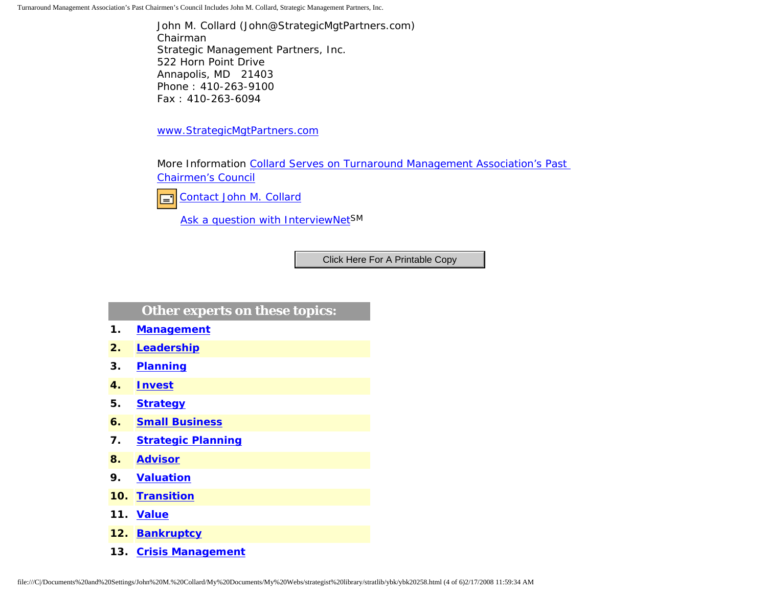Turnaround Management Association's Past Chairmen's Council Includes John M. Collard, Strategic Management Partners, Inc.

John M. Collard (John@StrategicMgtPartners.com) Chairman Strategic Management Partners, Inc. 522 Horn Point Drive Annapolis, MD 21403 Phone : 410-263-9100 Fax : 410-263-6094

[www.StrategicMgtPartners.com](http://www.strategicmgtpartners.com/)

More Information [Collard Serves on Turnaround Management Association's Past](http://members.aol.com/Strategist/pastchair.html) [Chairmen's Council](http://members.aol.com/Strategist/pastchair.html)



[Ask a question with InterviewNetS](http://www.expertclick.com/expertClick/contact/default.cfm?GroupID=1016)M

## **Other experts on these topics:**

- **1. [Management](http://www.expertclick.com/search/default.cfm?SearchCriteria=Management)**
- **2. [Leadership](http://www.expertclick.com/search/default.cfm?SearchCriteria=Leadership)**
- **3. [Planning](http://www.expertclick.com/search/default.cfm?SearchCriteria=Planning)**
- **4. [Invest](http://www.expertclick.com/search/default.cfm?SearchCriteria=Invest)**
- **5. [Strategy](http://www.expertclick.com/search/default.cfm?SearchCriteria=Strategy)**
- **6. [Small Business](http://www.expertclick.com/search/default.cfm?SearchCriteria=Small Business)**
- **7. [Strategic Planning](http://www.expertclick.com/search/default.cfm?SearchCriteria=Strategic Planning)**
- **8. [Advisor](http://www.expertclick.com/search/default.cfm?SearchCriteria=Advisor)**
- **9. [Valuation](http://www.expertclick.com/search/default.cfm?SearchCriteria=Valuation)**
- **10. [Transition](http://www.expertclick.com/search/default.cfm?SearchCriteria=Transition)**
- **11. [Value](http://www.expertclick.com/search/default.cfm?SearchCriteria=Value)**
- **12. [Bankruptcy](http://www.expertclick.com/search/default.cfm?SearchCriteria=Bankruptcy)**
- **13. [Crisis Management](http://www.expertclick.com/search/default.cfm?SearchCriteria=Crisis Management)**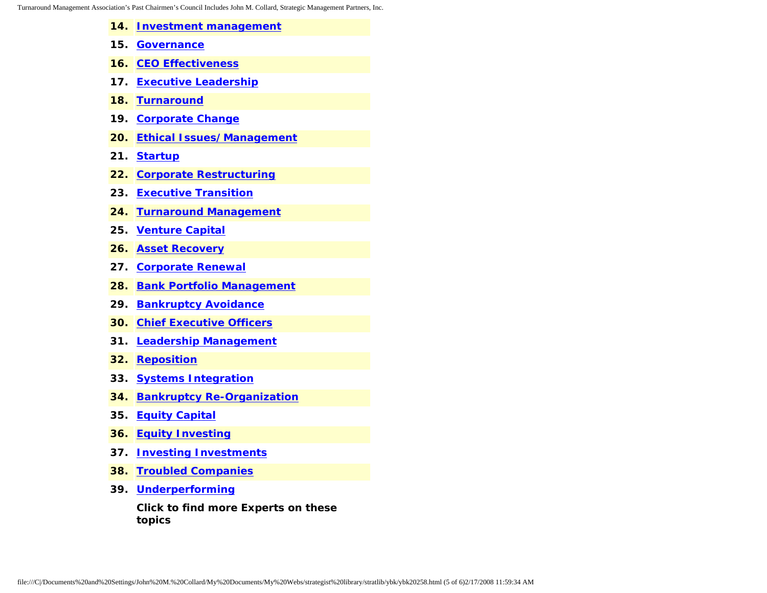Turnaround Management Assoc

| ociation's Past Chairmen's Council Includes John M. Collard, Strategic Management Partners, Inc. |                                               |
|--------------------------------------------------------------------------------------------------|-----------------------------------------------|
| 14.                                                                                              | <b>Investment management</b>                  |
|                                                                                                  | 15. Governance                                |
|                                                                                                  | <b>16. CEO Effectiveness</b>                  |
| 17.                                                                                              | <b>Executive Leadership</b>                   |
| 18.                                                                                              | <b>Turnaround</b>                             |
| 19.                                                                                              | <b>Corporate Change</b>                       |
| 20.                                                                                              | <b>Ethical Issues/Management</b>              |
| 21.                                                                                              | <b>Startup</b>                                |
|                                                                                                  | 22. Corporate Restructuring                   |
| 23.                                                                                              | <b>Executive Transition</b>                   |
| 24.                                                                                              | <b>Turnaround Management</b>                  |
| 25.                                                                                              | <b>Venture Capital</b>                        |
| 26.                                                                                              | <b>Asset Recovery</b>                         |
|                                                                                                  | 27. Corporate Renewal                         |
| 28.                                                                                              | <b>Bank Portfolio Management</b>              |
| 29.                                                                                              | <b>Bankruptcy Avoidance</b>                   |
| 30.                                                                                              | <b>Chief Executive Officers</b>               |
| 31.                                                                                              | <b>Leadership Management</b>                  |
| 32.                                                                                              | <b>Reposition</b>                             |
|                                                                                                  | 33. Systems Integration                       |
| 34.                                                                                              | <b>Bankruptcy Re-Organization</b>             |
|                                                                                                  | 35. Equity Capital                            |
| 36.                                                                                              | <b>Equity Investing</b>                       |
| 37.                                                                                              | <b>Investing Investments</b>                  |
| 38.                                                                                              | <b>Troubled Companies</b>                     |
| 39.                                                                                              | <b>Underperforming</b>                        |
|                                                                                                  | Click to find more Experts on these<br>topics |